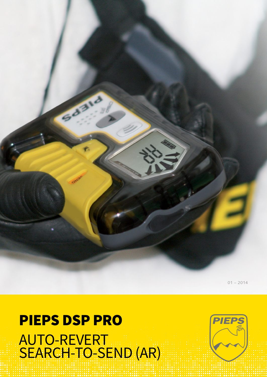## PIEPS DSP PRO AUTO-REVERT Search-to-Send (AR)

**60310** 



 $01 - 2014$